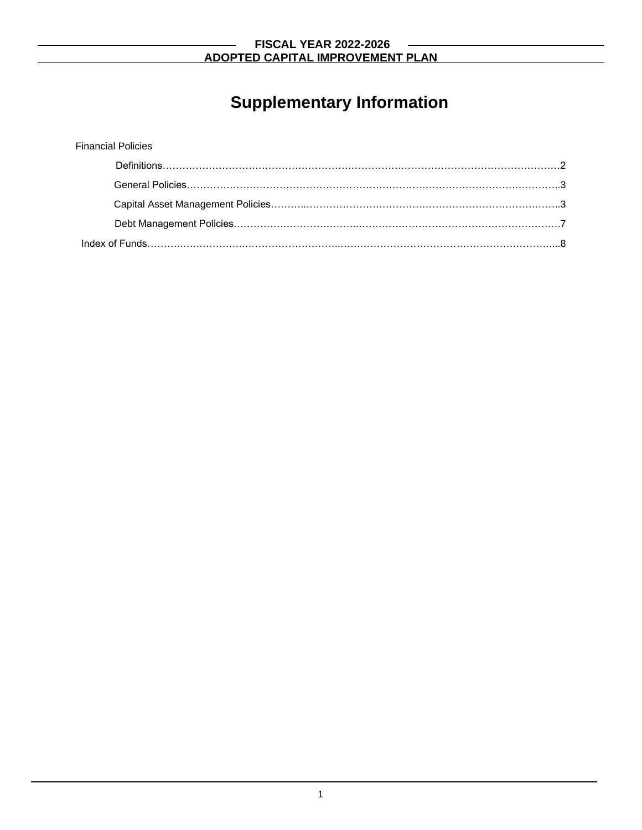# **Supplementary Information**

| <b>Financial Policies</b> |  |
|---------------------------|--|
|                           |  |
|                           |  |
|                           |  |
|                           |  |
|                           |  |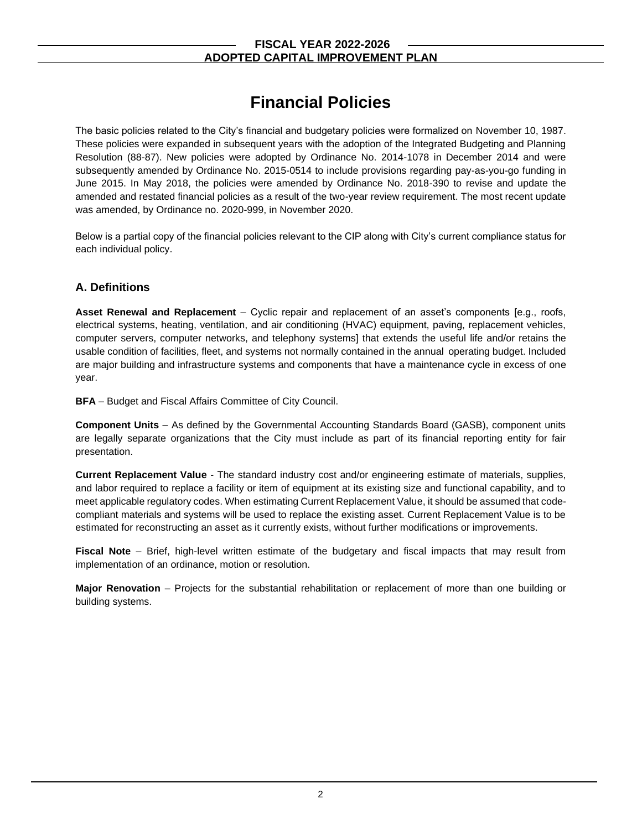# **Financial Policies**

The basic policies related to the City's financial and budgetary policies were formalized on November 10, 1987. These policies were expanded in subsequent years with the adoption of the Integrated Budgeting and Planning Resolution (88-87). New policies were adopted by Ordinance No. 2014-1078 in December 2014 and were subsequently amended by Ordinance No. 2015-0514 to include provisions regarding pay-as-you-go funding in June 2015. In May 2018, the policies were amended by Ordinance No. 2018-390 to revise and update the amended and restated financial policies as a result of the two-year review requirement. The most recent update was amended, by Ordinance no. 2020-999, in November 2020.

Below is a partial copy of the financial policies relevant to the CIP along with City's current compliance status for each individual policy.

# **A. Definitions**

**Asset Renewal and Replacement** – Cyclic repair and replacement of an asset's components [e.g., roofs, electrical systems, heating, ventilation, and air conditioning (HVAC) equipment, paving, replacement vehicles, computer servers, computer networks, and telephony systems] that extends the useful life and/or retains the usable condition of facilities, fleet, and systems not normally contained in the annual operating budget. Included are major building and infrastructure systems and components that have a maintenance cycle in excess of one year.

**BFA** – Budget and Fiscal Affairs Committee of City Council.

**Component Units** – As defined by the Governmental Accounting Standards Board (GASB), component units are legally separate organizations that the City must include as part of its financial reporting entity for fair presentation.

**Current Replacement Value** - The standard industry cost and/or engineering estimate of materials, supplies, and labor required to replace a facility or item of equipment at its existing size and functional capability, and to meet applicable regulatory codes. When estimating Current Replacement Value, it should be assumed that codecompliant materials and systems will be used to replace the existing asset. Current Replacement Value is to be estimated for reconstructing an asset as it currently exists, without further modifications or improvements.

**Fiscal Note** – Brief, high-level written estimate of the budgetary and fiscal impacts that may result from implementation of an ordinance, motion or resolution.

**Major Renovation** – Projects for the substantial rehabilitation or replacement of more than one building or building systems.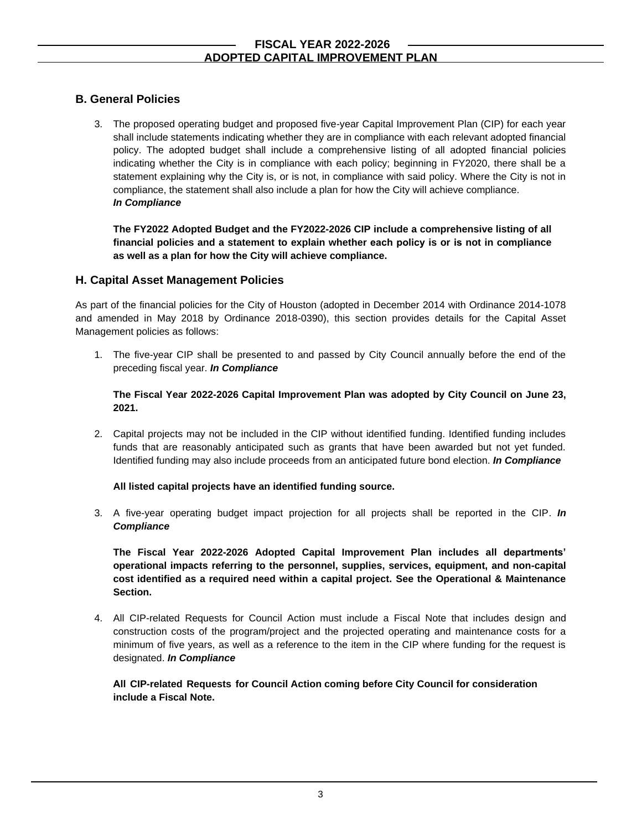# **B. General Policies**

3. The proposed operating budget and proposed five-year Capital Improvement Plan (CIP) for each year shall include statements indicating whether they are in compliance with each relevant adopted financial policy. The adopted budget shall include a comprehensive listing of all adopted financial policies indicating whether the City is in compliance with each policy; beginning in FY2020, there shall be a statement explaining why the City is, or is not, in compliance with said policy. Where the City is not in compliance, the statement shall also include a plan for how the City will achieve compliance. *In Compliance*

**The FY2022 Adopted Budget and the FY2022-2026 CIP include a comprehensive listing of all financial policies and a statement to explain whether each policy is or is not in compliance as well as a plan for how the City will achieve compliance.** 

# **H. Capital Asset Management Policies**

As part of the financial policies for the City of Houston (adopted in December 2014 with Ordinance 2014-1078 and amended in May 2018 by Ordinance 2018-0390), this section provides details for the Capital Asset Management policies as follows:

1. The five-year CIP shall be presented to and passed by City Council annually before the end of the preceding fiscal year. *In Compliance*

#### **The Fiscal Year 2022-2026 Capital Improvement Plan was adopted by City Council on June 23, 2021.**

2. Capital projects may not be included in the CIP without identified funding. Identified funding includes funds that are reasonably anticipated such as grants that have been awarded but not yet funded. Identified funding may also include proceeds from an anticipated future bond election. *In Compliance*

#### **All listed capital projects have an identified funding source.**

3. A five-year operating budget impact projection for all projects shall be reported in the CIP. *In Compliance*

**The Fiscal Year 2022-2026 Adopted Capital Improvement Plan includes all departments' operational impacts referring to the personnel, supplies, services, equipment, and non-capital cost identified as a required need within a capital project. See the Operational & Maintenance Section.**

4. All CIP-related Requests for Council Action must include a Fiscal Note that includes design and construction costs of the program/project and the projected operating and maintenance costs for a minimum of five years, as well as a reference to the item in the CIP where funding for the request is designated. *In Compliance*

### **All CIP-related Requests for Council Action coming before City Council for consideration include a Fiscal Note.**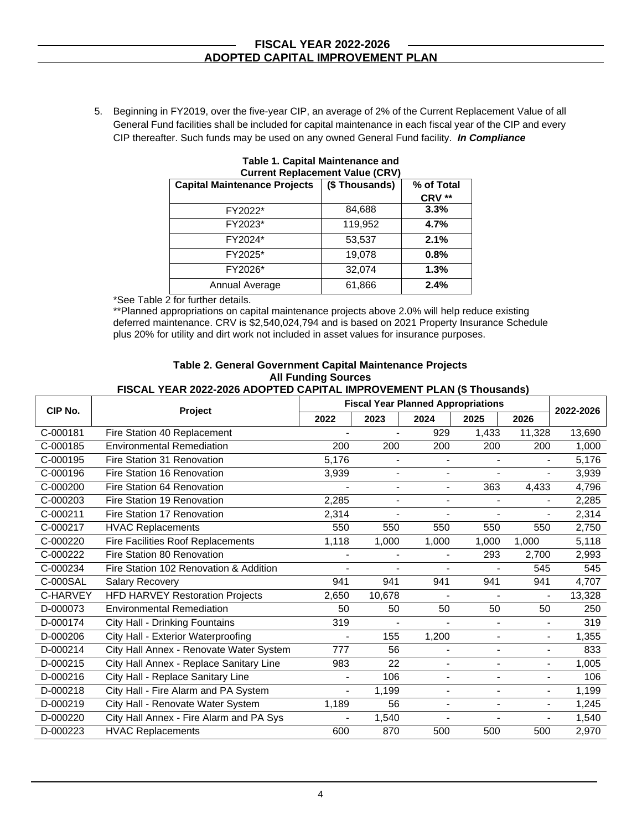5. Beginning in FY2019, over the five-year CIP, an average of 2% of the Current Replacement Value of all General Fund facilities shall be included for capital maintenance in each fiscal year of the CIP and every CIP thereafter. Such funds may be used on any owned General Fund facility. *In Compliance*

| <b>Current Replacement Value (CRV)</b> |               |            |  |  |
|----------------------------------------|---------------|------------|--|--|
| <b>Capital Maintenance Projects</b>    | (\$Thousands) | % of Total |  |  |
|                                        |               | CRV **     |  |  |
| FY2022*                                | 84,688        | 3.3%       |  |  |
| FY2023*                                | 119,952       | 4.7%       |  |  |
| FY2024*                                | 53,537        | 2.1%       |  |  |
| FY2025*                                | 19,078        | 0.8%       |  |  |
| FY2026*                                | 32,074        | 1.3%       |  |  |
| Annual Average                         | 61,866        | 2.4%       |  |  |

**Table 1. Capital Maintenance and** 

\*See Table 2 for further details.

\*\*Planned appropriations on capital maintenance projects above 2.0% will help reduce existing deferred maintenance. CRV is \$2,540,024,794 and is based on 2021 Property Insurance Schedule plus 20% for utility and dirt work not included in asset values for insurance purposes.

#### **Table 2. General Government Capital Maintenance Projects All Funding Sources**

#### **FISCAL YEAR 2022-2026 ADOPTED CAPITAL IMPROVEMENT PLAN (\$ Thousands)**

|          |                                          | <b>Fiscal Year Planned Appropriations</b> |                          |                          |                          |                          |           |
|----------|------------------------------------------|-------------------------------------------|--------------------------|--------------------------|--------------------------|--------------------------|-----------|
| CIP No.  | Project                                  | 2022                                      | 2023                     | 2024                     | 2025                     | 2026                     | 2022-2026 |
| C-000181 | Fire Station 40 Replacement              |                                           |                          | 929                      | 1,433                    | 11,328                   | 13,690    |
| C-000185 | <b>Environmental Remediation</b>         | 200                                       | 200                      | 200                      | 200                      | 200                      | 1,000     |
| C-000195 | Fire Station 31 Renovation               | 5,176                                     | $\blacksquare$           | $\blacksquare$           | $\overline{\phantom{a}}$ | $\blacksquare$           | 5,176     |
| C-000196 | Fire Station 16 Renovation               | 3,939                                     | $\blacksquare$           | $\blacksquare$           | $\overline{\phantom{a}}$ | $\blacksquare$           | 3,939     |
| C-000200 | Fire Station 64 Renovation               |                                           | $\blacksquare$           | $\blacksquare$           | 363                      | 4,433                    | 4,796     |
| C-000203 | Fire Station 19 Renovation               | 2,285                                     | $\overline{\phantom{0}}$ | $\overline{\phantom{a}}$ | $\overline{\phantom{0}}$ |                          | 2,285     |
| C-000211 | Fire Station 17 Renovation               | 2.314                                     | $\overline{a}$           | $\blacksquare$           | $\overline{a}$           |                          | 2,314     |
| C-000217 | <b>HVAC Replacements</b>                 | 550                                       | 550                      | 550                      | 550                      | 550                      | 2,750     |
| C-000220 | <b>Fire Facilities Roof Replacements</b> | 1,118                                     | 1,000                    | 1,000                    | 1,000                    | 1,000                    | 5,118     |
| C-000222 | Fire Station 80 Renovation               |                                           |                          | $\blacksquare$           | 293                      | 2,700                    | 2,993     |
| C-000234 | Fire Station 102 Renovation & Addition   |                                           |                          |                          |                          | 545                      | 545       |
| C-000SAL | <b>Salary Recovery</b>                   | 941                                       | 941                      | 941                      | 941                      | 941                      | 4,707     |
| C-HARVEY | <b>HFD HARVEY Restoration Projects</b>   | 2,650                                     | 10,678                   |                          |                          |                          | 13,328    |
| D-000073 | <b>Environmental Remediation</b>         | 50                                        | 50                       | 50                       | 50                       | 50                       | 250       |
| D-000174 | City Hall - Drinking Fountains           | 319                                       | $\overline{\phantom{a}}$ |                          | $\blacksquare$           | $\blacksquare$           | 319       |
| D-000206 | City Hall - Exterior Waterproofing       |                                           | 155                      | 1,200                    | $\blacksquare$           | $\blacksquare$           | 1,355     |
| D-000214 | City Hall Annex - Renovate Water System  | 777                                       | 56                       | $\blacksquare$           | $\overline{\phantom{0}}$ | $\blacksquare$           | 833       |
| D-000215 | City Hall Annex - Replace Sanitary Line  | 983                                       | 22                       | $\blacksquare$           | $\blacksquare$           | $\overline{\phantom{a}}$ | 1,005     |
| D-000216 | City Hall - Replace Sanitary Line        |                                           | 106                      | $\blacksquare$           | $\overline{\phantom{0}}$ | $\blacksquare$           | 106       |
| D-000218 | City Hall - Fire Alarm and PA System     | $\blacksquare$                            | 1,199                    | $\blacksquare$           | $\blacksquare$           | $\blacksquare$           | 1.199     |
| D-000219 | City Hall - Renovate Water System        | 1,189                                     | 56                       | $\blacksquare$           | $\overline{\phantom{a}}$ | $\blacksquare$           | 1,245     |
| D-000220 | City Hall Annex - Fire Alarm and PA Sys  |                                           | 1,540                    |                          | $\overline{a}$           |                          | 1,540     |
| D-000223 | <b>HVAC Replacements</b>                 | 600                                       | 870                      | 500                      | 500                      | 500                      | 2,970     |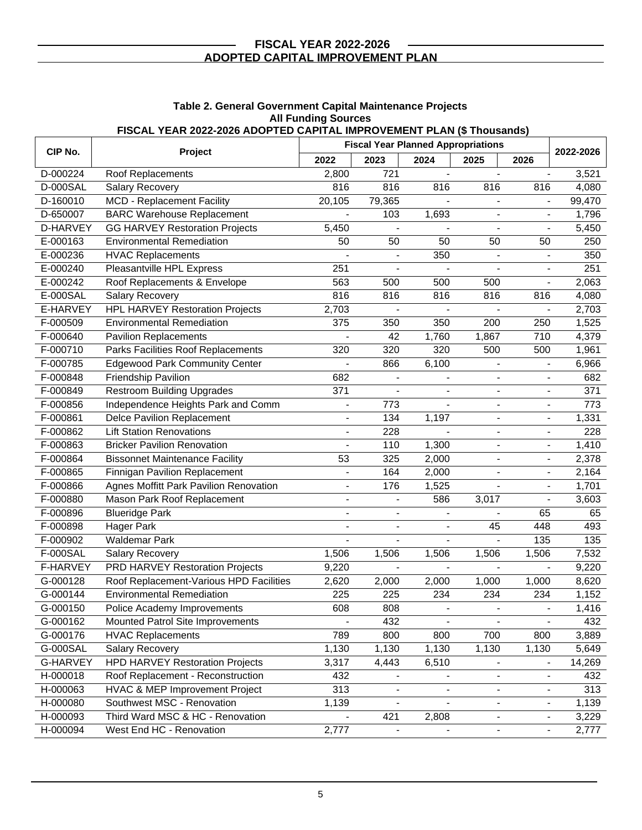| FISCAL YEAR 2022-2026 ADOPTED CAPITAL IMPROVEMENT PLAN (\$ Thousands) |                                           |                          |                          |                              |                              |                              |           |
|-----------------------------------------------------------------------|-------------------------------------------|--------------------------|--------------------------|------------------------------|------------------------------|------------------------------|-----------|
| CIP No.                                                               | <b>Fiscal Year Planned Appropriations</b> |                          |                          |                              |                              |                              | 2022-2026 |
|                                                                       | Project                                   | 2022                     | 2023                     | 2024                         | 2025                         | 2026                         |           |
| D-000224                                                              | Roof Replacements                         | 2,800                    | 721                      |                              | $\blacksquare$               | $\blacksquare$               | 3,521     |
| <b>D-000SAL</b>                                                       | <b>Salary Recovery</b>                    | 816                      | 816                      | 816                          | 816                          | 816                          | 4,080     |
| D-160010                                                              | MCD - Replacement Facility                | 20,105                   | 79,365                   |                              | $\blacksquare$               | $\overline{\phantom{a}}$     | 99,470    |
| D-650007                                                              | <b>BARC Warehouse Replacement</b>         | $\blacksquare$           | 103                      | 1,693                        | $\overline{a}$               | $\overline{a}$               | 1,796     |
| D-HARVEY                                                              | <b>GG HARVEY Restoration Projects</b>     | 5,450                    |                          |                              |                              | $\overline{a}$               | 5,450     |
| E-000163                                                              | <b>Environmental Remediation</b>          | 50                       | 50                       | 50                           | 50                           | 50                           | 250       |
| E-000236                                                              | <b>HVAC Replacements</b>                  |                          | $\overline{\phantom{a}}$ | 350                          | $\overline{\phantom{a}}$     | $\qquad \qquad \blacksquare$ | 350       |
| E-000240                                                              | Pleasantville HPL Express                 | 251                      |                          |                              |                              |                              | 251       |
| E-000242                                                              | Roof Replacements & Envelope              | 563                      | 500                      | 500                          | 500                          | $\frac{1}{2}$                | 2,063     |
| E-000SAL                                                              | Salary Recovery                           | 816                      | 816                      | 816                          | 816                          | 816                          | 4,080     |
| E-HARVEY                                                              | <b>HPL HARVEY Restoration Projects</b>    | 2,703                    |                          |                              |                              |                              | 2,703     |
| F-000509                                                              | <b>Environmental Remediation</b>          | 375                      | 350                      | 350                          | 200                          | 250                          | 1,525     |
| F-000640                                                              | <b>Pavilion Replacements</b>              |                          | 42                       | 1,760                        | 1,867                        | 710                          | 4,379     |
| F-000710                                                              | Parks Facilities Roof Replacements        | 320                      | 320                      | 320                          | 500                          | 500                          | 1,961     |
| F-000785                                                              | <b>Edgewood Park Community Center</b>     |                          | 866                      | 6,100                        |                              |                              | 6,966     |
| F-000848                                                              | Friendship Pavilion                       | 682                      |                          |                              |                              |                              | 682       |
| F-000849                                                              | <b>Restroom Building Upgrades</b>         | $\overline{371}$         |                          |                              | $\overline{\phantom{a}}$     | $\overline{a}$               | 371       |
| F-000856                                                              | Independence Heights Park and Comm        |                          | 773                      |                              |                              | $\blacksquare$               | 773       |
| F-000861                                                              | <b>Delce Pavilion Replacement</b>         |                          | 134                      | 1,197                        | $\overline{\phantom{0}}$     | $\overline{\phantom{a}}$     | 1,331     |
| F-000862                                                              | <b>Lift Station Renovations</b>           |                          | 228                      |                              | $\qquad \qquad \blacksquare$ | $\qquad \qquad \blacksquare$ | 228       |
| F-000863                                                              | <b>Bricker Pavilion Renovation</b>        |                          | 110                      | 1,300                        | $\blacksquare$               | $\frac{1}{2}$                | 1,410     |
| F-000864                                                              | <b>Bissonnet Maintenance Facility</b>     | 53                       | 325                      | 2,000                        | $\blacksquare$               | $\overline{\phantom{a}}$     | 2,378     |
| F-000865                                                              | Finnigan Pavilion Replacement             |                          | 164                      | 2,000                        | $\blacksquare$               | $\overline{a}$               | 2,164     |
| F-000866                                                              | Agnes Moffitt Park Pavilion Renovation    | $\blacksquare$           | 176                      | 1,525                        | $\overline{\phantom{a}}$     | $\blacksquare$               | 1,701     |
| F-000880                                                              | Mason Park Roof Replacement               | $\overline{\phantom{a}}$ |                          | 586                          | 3,017                        |                              | 3,603     |
| F-000896                                                              | <b>Blueridge Park</b>                     | $\overline{\phantom{a}}$ | $\blacksquare$           | $\overline{\phantom{a}}$     |                              | 65                           | 65        |
| F-000898                                                              | <b>Hager Park</b>                         |                          | $\overline{\phantom{a}}$ |                              | 45                           | 448                          | 493       |
| F-000902                                                              | <b>Waldemar Park</b>                      |                          | $\blacksquare$           |                              |                              | 135                          | 135       |
| <b>F-000SAL</b>                                                       | Salary Recovery                           | 1,506                    | 1,506                    | 1,506                        | 1,506                        | 1,506                        | 7,532     |
| F-HARVEY                                                              | <b>PRD HARVEY Restoration Projects</b>    | 9,220                    |                          |                              |                              |                              | 9,220     |
| G-000128                                                              | Roof Replacement-Various HPD Facilities   | 2,620                    | 2,000                    | 2,000                        | 1,000                        | 1,000                        | 8,620     |
| G-000144                                                              | <b>Environmental Remediation</b>          | 225                      | 225                      | 234                          | 234                          | 234                          | 1,152     |
| G-000150                                                              | Police Academy Improvements               | 608                      | 808                      |                              |                              |                              | 1,416     |
| G-000162                                                              | Mounted Patrol Site Improvements          |                          | 432                      |                              |                              |                              | 432       |
| G-000176                                                              | <b>HVAC Replacements</b>                  | 789                      | 800                      | 800                          | 700                          | 800                          | 3,889     |
| G-000SAL                                                              | <b>Salary Recovery</b>                    | 1,130                    | 1,130                    | 1,130                        | 1,130                        | 1,130                        | 5,649     |
| <b>G-HARVEY</b>                                                       | <b>HPD HARVEY Restoration Projects</b>    | 3,317                    | 4,443                    | 6,510                        |                              | $\overline{\phantom{0}}$     | 14,269    |
| H-000018                                                              | Roof Replacement - Reconstruction         | 432                      |                          |                              |                              |                              | 432       |
| H-000063                                                              | HVAC & MEP Improvement Project            | 313                      | $\overline{\phantom{a}}$ | $\qquad \qquad \blacksquare$ | $\overline{\phantom{a}}$     | $\overline{\phantom{a}}$     | 313       |
| H-000080                                                              | Southwest MSC - Renovation                | 1,139                    |                          |                              | $\blacksquare$               | $\overline{\phantom{a}}$     | 1,139     |
| H-000093                                                              | Third Ward MSC & HC - Renovation          |                          | 421                      | 2,808                        | $\blacksquare$               | $\frac{1}{2}$                | 3,229     |
| H-000094                                                              | West End HC - Renovation                  | 2,777                    | $\overline{\phantom{a}}$ | $\blacksquare$               | $\overline{\phantom{a}}$     | $\blacksquare$               | 2,777     |

**Table 2. General Government Capital Maintenance Projects All Funding Sources**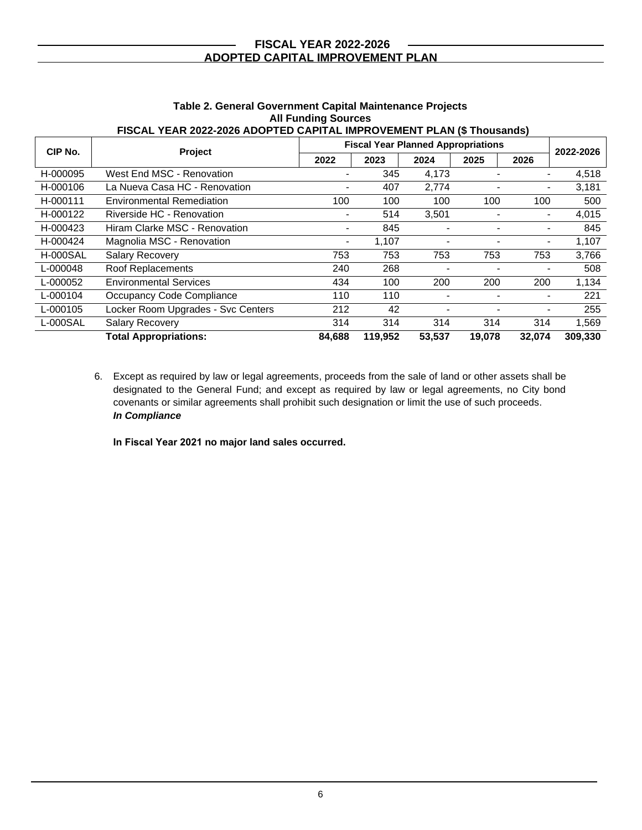|                 |                                    | <b>Fiscal Year Planned Appropriations</b> |         |        |        |        |           |
|-----------------|------------------------------------|-------------------------------------------|---------|--------|--------|--------|-----------|
| CIP No.         | Project                            | 2022                                      | 2023    | 2024   | 2025   | 2026   | 2022-2026 |
| H-000095        | West End MSC - Renovation          |                                           | 345     | 4,173  |        |        | 4,518     |
| H-000106        | La Nueva Casa HC - Renovation      |                                           | 407     | 2.774  |        |        | 3,181     |
| H-000111        | <b>Environmental Remediation</b>   | 100                                       | 100     | 100    | 100    | 100    | 500       |
| H-000122        | Riverside HC - Renovation          |                                           | 514     | 3,501  |        |        | 4,015     |
| H-000423        | Hiram Clarke MSC - Renovation      |                                           | 845     |        |        |        | 845       |
| H-000424        | Magnolia MSC - Renovation          |                                           | 1,107   |        |        |        | 1,107     |
| <b>H-000SAL</b> | <b>Salary Recovery</b>             | 753                                       | 753     | 753    | 753    | 753    | 3,766     |
| L-000048        | Roof Replacements                  | 240                                       | 268     |        |        |        | 508       |
| L-000052        | <b>Environmental Services</b>      | 434                                       | 100     | 200    | 200    | 200    | 1,134     |
| L-000104        | Occupancy Code Compliance          | 110                                       | 110     |        |        |        | 221       |
| L-000105        | Locker Room Upgrades - Svc Centers | 212                                       | 42      |        |        |        | 255       |
| L-000SAL        | Salary Recovery                    | 314                                       | 314     | 314    | 314    | 314    | 1,569     |
|                 | <b>Total Appropriations:</b>       | 84,688                                    | 119.952 | 53,537 | 19,078 | 32,074 | 309,330   |

#### **Table 2. General Government Capital Maintenance Projects All Funding Sources FISCAL YEAR 2022-2026 ADOPTED CAPITAL IMPROVEMENT PLAN (\$ Thousands)**

#### 6. Except as required by law or legal agreements, proceeds from the sale of land or other assets shall be designated to the General Fund; and except as required by law or legal agreements, no City bond covenants or similar agreements shall prohibit such designation or limit the use of such proceeds. *In Compliance*

**In Fiscal Year 2021 no major land sales occurred.**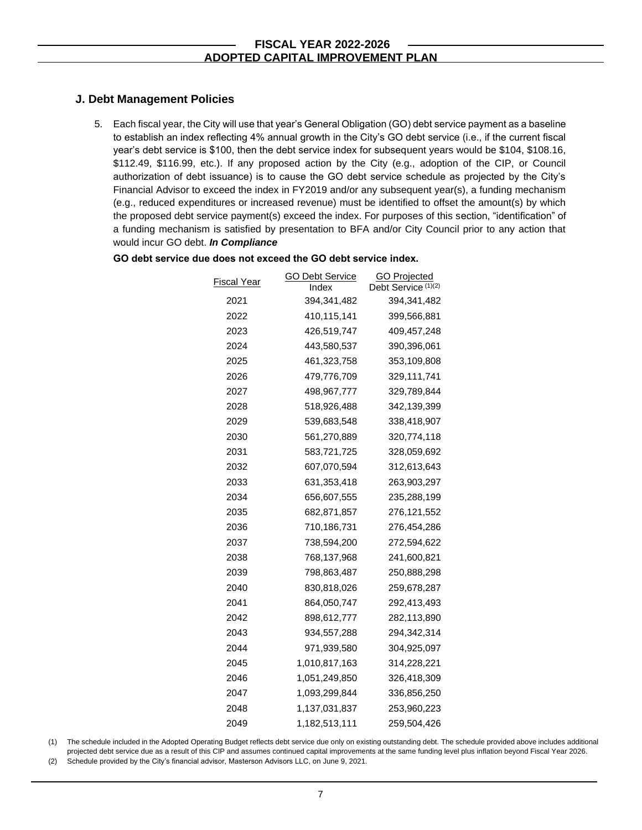### **J. Debt Management Policies**

5. Each fiscal year, the City will use that year's General Obligation (GO) debt service payment as a baseline to establish an index reflecting 4% annual growth in the City's GO debt service (i.e., if the current fiscal year's debt service is \$100, then the debt service index for subsequent years would be \$104, \$108.16, \$112.49, \$116.99, etc.). If any proposed action by the City (e.g., adoption of the CIP, or Council authorization of debt issuance) is to cause the GO debt service schedule as projected by the City's Financial Advisor to exceed the index in FY2019 and/or any subsequent year(s), a funding mechanism (e.g., reduced expenditures or increased revenue) must be identified to offset the amount(s) by which the proposed debt service payment(s) exceed the index. For purposes of this section, "identification" of a funding mechanism is satisfied by presentation to BFA and/or City Council prior to any action that would incur GO debt. *In Compliance*

| Fiscal Year | <b>GO Debt Service</b><br>Index | <b>GO Projected</b><br>Debt Service (1)(2) |
|-------------|---------------------------------|--------------------------------------------|
| 2021        | 394, 341, 482                   | 394,341,482                                |
| 2022        | 410,115,141                     | 399,566,881                                |
| 2023        | 426,519,747                     | 409,457,248                                |
| 2024        | 443,580,537                     | 390,396,061                                |
| 2025        | 461,323,758                     | 353,109,808                                |
| 2026        | 479,776,709                     | 329,111,741                                |
| 2027        | 498,967,777                     | 329,789,844                                |
| 2028        | 518,926,488                     | 342,139,399                                |
| 2029        | 539,683,548                     | 338,418,907                                |
| 2030        | 561,270,889                     | 320,774,118                                |
| 2031        | 583,721,725                     | 328,059,692                                |
| 2032        | 607,070,594                     | 312,613,643                                |
| 2033        | 631,353,418                     | 263,903,297                                |
| 2034        | 656,607,555                     | 235,288,199                                |
| 2035        | 682,871,857                     | 276,121,552                                |
| 2036        | 710,186,731                     | 276,454,286                                |
| 2037        | 738,594,200                     | 272,594,622                                |
| 2038        | 768,137,968                     | 241,600,821                                |
| 2039        | 798,863,487                     | 250,888,298                                |
| 2040        | 830,818,026                     | 259,678,287                                |
| 2041        | 864,050,747                     | 292,413,493                                |
| 2042        | 898,612,777                     | 282,113,890                                |
| 2043        | 934,557,288                     | 294,342,314                                |
| 2044        | 971,939,580                     | 304,925,097                                |
| 2045        | 1,010,817,163                   | 314,228,221                                |
| 2046        | 1,051,249,850                   | 326,418,309                                |
| 2047        | 1,093,299,844                   | 336,856,250                                |
| 2048        | 1,137,031,837                   | 253,960,223                                |
| 2049        | 1,182,513,111                   | 259,504,426                                |

#### **GO debt service due does not exceed the GO debt service index.**

(1) The schedule included in the Adopted Operating Budget reflects debt service due only on existing outstanding debt. The schedule provided above includes additional projected debt service due as a result of this CIP and assumes continued capital improvements at the same funding level plus inflation beyond Fiscal Year 2026.

(2) Schedule provided by the City's financial advisor, Masterson Advisors LLC, on June 9, 2021.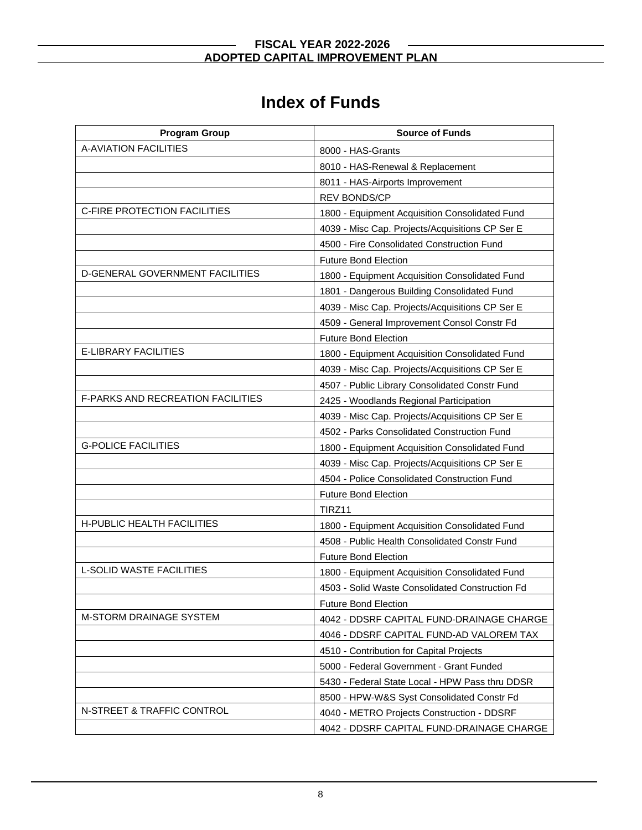# **Index of Funds**

| <b>Program Group</b>                     | <b>Source of Funds</b>                          |
|------------------------------------------|-------------------------------------------------|
| <b>A-AVIATION FACILITIES</b>             | 8000 - HAS-Grants                               |
|                                          | 8010 - HAS-Renewal & Replacement                |
|                                          | 8011 - HAS-Airports Improvement                 |
|                                          | <b>REV BONDS/CP</b>                             |
| C-FIRE PROTECTION FACILITIES             | 1800 - Equipment Acquisition Consolidated Fund  |
|                                          | 4039 - Misc Cap. Projects/Acquisitions CP Ser E |
|                                          | 4500 - Fire Consolidated Construction Fund      |
|                                          | <b>Future Bond Election</b>                     |
| D-GENERAL GOVERNMENT FACILITIES          | 1800 - Equipment Acquisition Consolidated Fund  |
|                                          | 1801 - Dangerous Building Consolidated Fund     |
|                                          | 4039 - Misc Cap. Projects/Acquisitions CP Ser E |
|                                          | 4509 - General Improvement Consol Constr Fd     |
|                                          | <b>Future Bond Election</b>                     |
| E-LIBRARY FACILITIES                     | 1800 - Equipment Acquisition Consolidated Fund  |
|                                          | 4039 - Misc Cap. Projects/Acquisitions CP Ser E |
|                                          | 4507 - Public Library Consolidated Constr Fund  |
| <b>F-PARKS AND RECREATION FACILITIES</b> | 2425 - Woodlands Regional Participation         |
|                                          | 4039 - Misc Cap. Projects/Acquisitions CP Ser E |
|                                          | 4502 - Parks Consolidated Construction Fund     |
| <b>G-POLICE FACILITIES</b>               | 1800 - Equipment Acquisition Consolidated Fund  |
|                                          | 4039 - Misc Cap. Projects/Acquisitions CP Ser E |
|                                          | 4504 - Police Consolidated Construction Fund    |
|                                          | <b>Future Bond Election</b>                     |
|                                          | TIRZ11                                          |
| H-PUBLIC HEALTH FACILITIES               | 1800 - Equipment Acquisition Consolidated Fund  |
|                                          | 4508 - Public Health Consolidated Constr Fund   |
|                                          | <b>Future Bond Election</b>                     |
| <b>L-SOLID WASTE FACILITIES</b>          | 1800 - Equipment Acquisition Consolidated Fund  |
|                                          | 4503 - Solid Waste Consolidated Construction Fd |
|                                          | <b>Future Bond Election</b>                     |
| <b>M-STORM DRAINAGE SYSTEM</b>           | 4042 - DDSRF CAPITAL FUND-DRAINAGE CHARGE       |
|                                          | 4046 - DDSRF CAPITAL FUND-AD VALOREM TAX        |
|                                          | 4510 - Contribution for Capital Projects        |
|                                          | 5000 - Federal Government - Grant Funded        |
|                                          | 5430 - Federal State Local - HPW Pass thru DDSR |
|                                          | 8500 - HPW-W&S Syst Consolidated Constr Fd      |
| N-STREET & TRAFFIC CONTROL               | 4040 - METRO Projects Construction - DDSRF      |
|                                          | 4042 - DDSRF CAPITAL FUND-DRAINAGE CHARGE       |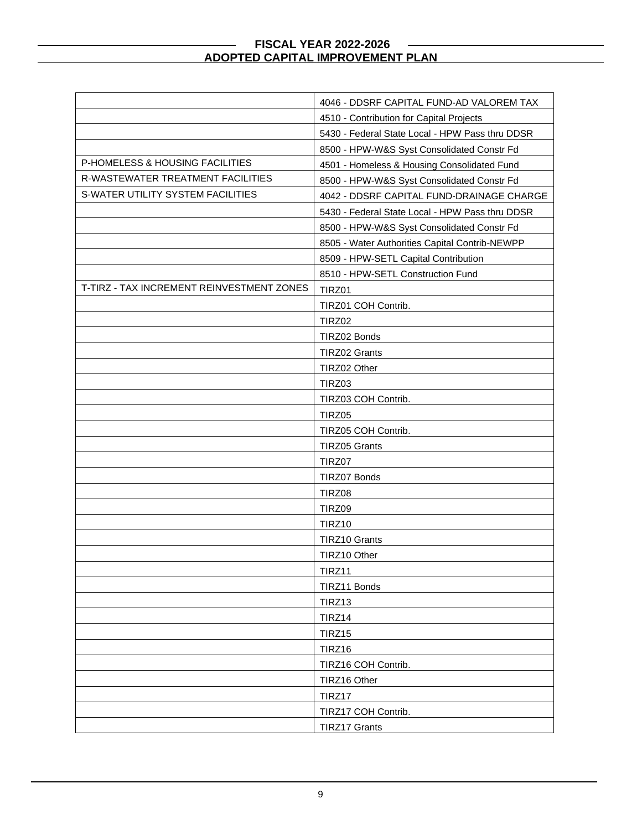|                                           | 4046 - DDSRF CAPITAL FUND-AD VALOREM TAX        |
|-------------------------------------------|-------------------------------------------------|
|                                           | 4510 - Contribution for Capital Projects        |
|                                           | 5430 - Federal State Local - HPW Pass thru DDSR |
|                                           | 8500 - HPW-W&S Syst Consolidated Constr Fd      |
| P-HOMELESS & HOUSING FACILITIES           | 4501 - Homeless & Housing Consolidated Fund     |
| R-WASTEWATER TREATMENT FACILITIES         | 8500 - HPW-W&S Syst Consolidated Constr Fd      |
| S-WATER UTILITY SYSTEM FACILITIES         | 4042 - DDSRF CAPITAL FUND-DRAINAGE CHARGE       |
|                                           | 5430 - Federal State Local - HPW Pass thru DDSR |
|                                           | 8500 - HPW-W&S Syst Consolidated Constr Fd      |
|                                           | 8505 - Water Authorities Capital Contrib-NEWPP  |
|                                           | 8509 - HPW-SETL Capital Contribution            |
|                                           | 8510 - HPW-SETL Construction Fund               |
| T-TIRZ - TAX INCREMENT REINVESTMENT ZONES | TIRZ01                                          |
|                                           | TIRZ01 COH Contrib.                             |
|                                           | TIRZ02                                          |
|                                           | TIRZ02 Bonds                                    |
|                                           | <b>TIRZ02 Grants</b>                            |
|                                           | TIRZ02 Other                                    |
|                                           | TIRZ03                                          |
|                                           | TIRZ03 COH Contrib.                             |
|                                           | TIRZ05                                          |
|                                           | TIRZ05 COH Contrib.                             |
|                                           | TIRZ05 Grants                                   |
|                                           | TIRZ07                                          |
|                                           | TIRZ07 Bonds                                    |
|                                           | TIRZ08                                          |
|                                           | TIRZ09                                          |
|                                           | TIRZ10                                          |
|                                           | <b>TIRZ10 Grants</b>                            |
|                                           | TIRZ10 Other                                    |
|                                           | TIRZ11                                          |
|                                           | TIRZ11 Bonds                                    |
|                                           | TIRZ13                                          |
|                                           | TIRZ14                                          |
|                                           | TIRZ15                                          |
|                                           | TIRZ16                                          |
|                                           | TIRZ16 COH Contrib.                             |
|                                           | TIRZ16 Other                                    |
|                                           | TIRZ17                                          |
|                                           | TIRZ17 COH Contrib.                             |
|                                           | TIRZ17 Grants                                   |